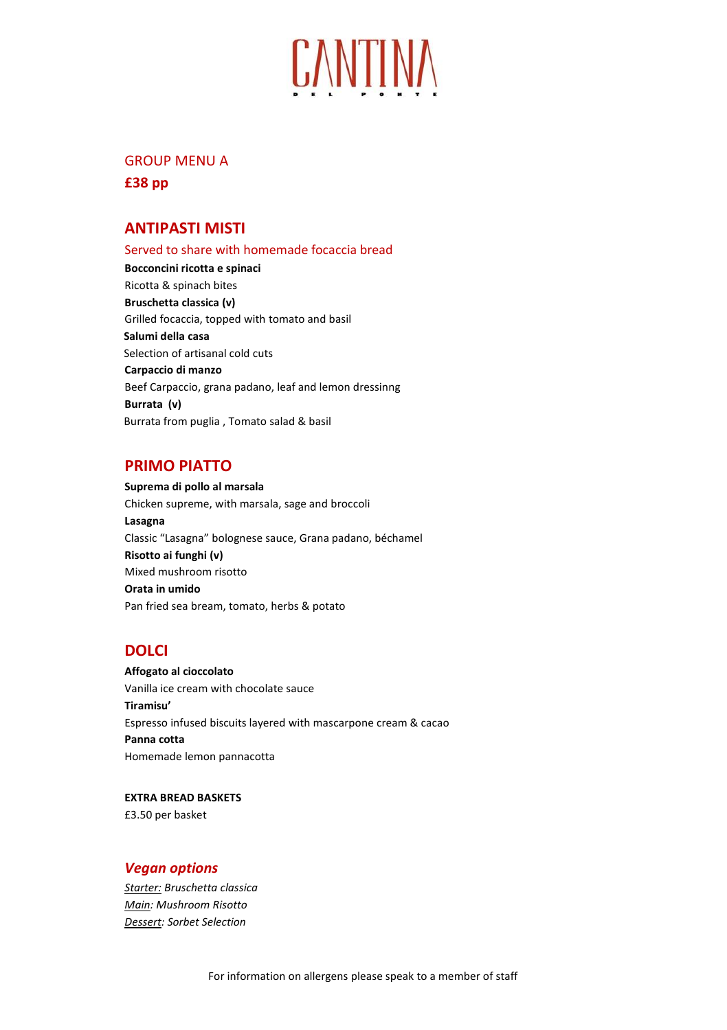

# GROUP MENU A

**£38 pp** 

## **ANTIPASTI MISTI**

Served to share with homemade focaccia bread **Bocconcini ricotta e spinaci**  Ricotta & spinach bites **Bruschetta classica (v)** Grilled focaccia, topped with tomato and basil **Salumi della casa**  Selection of artisanal cold cuts **Carpaccio di manzo**  Beef Carpaccio, grana padano, leaf and lemon dressinng **Burrata (v)** Burrata from puglia , Tomato salad & basil

## **PRIMO PIATTO**

**Suprema di pollo al marsala**  Chicken supreme, with marsala, sage and broccoli **Lasagna**  Classic "Lasagna" bolognese sauce, Grana padano, béchamel **Risotto ai funghi (v)** Mixed mushroom risotto **Orata in umido**  Pan fried sea bream, tomato, herbs & potato

# **DOLCI**

**Affogato al cioccolato**  Vanilla ice cream with chocolate sauce **Tiramisu'**  Espresso infused biscuits layered with mascarpone cream & cacao **Panna cotta**  Homemade lemon pannacotta

**EXTRA BREAD BASKETS** £3.50 per basket

### *Vegan options*

*Starter: Bruschetta classica Main: Mushroom Risotto Dessert: Sorbet Selection*